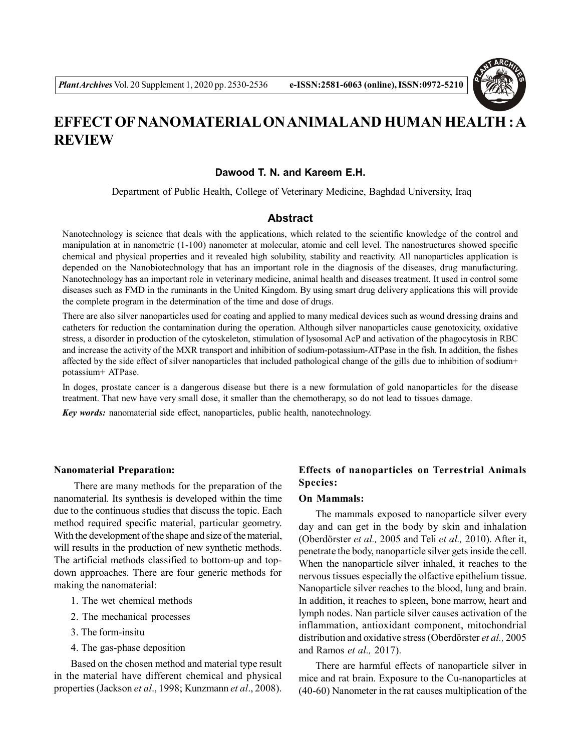

# **EFFECT OF NANOMATERIAL ON ANIMALAND HUMAN HEALTH : A REVIEW**

# **Dawood T. N. and Kareem E.H.**

Department of Public Health, College of Veterinary Medicine, Baghdad University, Iraq

# **Abstract**

Nanotechnology is science that deals with the applications, which related to the scientific knowledge of the control and manipulation at in nanometric (1-100) nanometer at molecular, atomic and cell level. The nanostructures showed specific chemical and physical properties and it revealed high solubility, stability and reactivity. All nanoparticles application is depended on the Nanobiotechnology that has an important role in the diagnosis of the diseases, drug manufacturing. Nanotechnology has an important role in veterinary medicine, animal health and diseases treatment. It used in control some diseases such as FMD in the ruminants in the United Kingdom. By using smart drug delivery applications this will provide the complete program in the determination of the time and dose of drugs.

There are also silver nanoparticles used for coating and applied to many medical devices such as wound dressing drains and catheters for reduction the contamination during the operation. Although silver nanoparticles cause genotoxicity, oxidative stress, a disorder in production of the cytoskeleton, stimulation of lysosomal AcP and activation of the phagocytosis in RBC and increase the activity of the MXR transport and inhibition of sodium-potassium-ATPase in the fish. In addition, the fishes affected by the side effect of silver nanoparticles that included pathological change of the gills due to inhibition of sodium+ potassium+ ATPase.

In doges, prostate cancer is a dangerous disease but there is a new formulation of gold nanoparticles for the disease treatment. That new have very small dose, it smaller than the chemotherapy, so do not lead to tissues damage.

*Key words:* nanomaterial side effect, nanoparticles, public health, nanotechnology.

#### **Nanomaterial Preparation:**

 There are many methods for the preparation of the nanomaterial. Its synthesis is developed within the time due to the continuous studies that discuss the topic. Each method required specific material, particular geometry. With the development of the shape and size of the material, will results in the production of new synthetic methods. The artificial methods classified to bottom-up and topdown approaches. There are four generic methods for making the nanomaterial:

- 1. The wet chemical methods
- 2. The mechanical processes
- 3. The form-insitu
- 4. The gas-phase deposition

Based on the chosen method and material type result in the material have different chemical and physical properties (Jackson *et al*., 1998; Kunzmann *et al*., 2008).

# **Effects of nanoparticles on Terrestrial Animals Species:**

### **On Mammals:**

The mammals exposed to nanoparticle silver every day and can get in the body by skin and inhalation (Oberdörster *et al.,* 2005 and Teli *et al.,* 2010). After it, penetrate the body, nanoparticle silver gets inside the cell. When the nanoparticle silver inhaled, it reaches to the nervous tissues especially the olfactive epithelium tissue. Nanoparticle silver reaches to the blood, lung and brain. In addition, it reaches to spleen, bone marrow, heart and lymph nodes. Nan particle silver causes activation of the inflammation, antioxidant component, mitochondrial distribution and oxidative stress (Oberdörster *et al.,* 2005 and Ramos *et al.,* 2017).

There are harmful effects of nanoparticle silver in mice and rat brain. Exposure to the Cu-nanoparticles at (40-60) Nanometer in the rat causes multiplication of the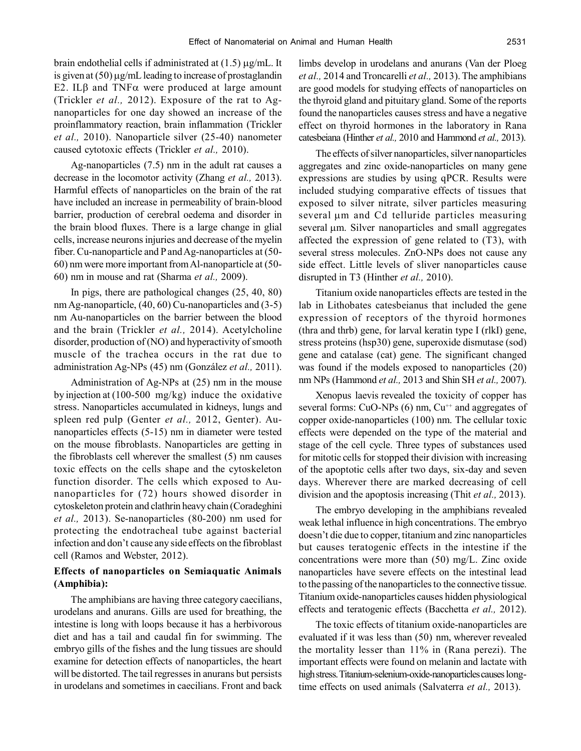brain endothelial cells if administrated at  $(1.5)$   $\mu$ g/mL. It is given at  $(50)$  µg/mL leading to increase of prostaglandin E2. IL $\beta$  and TNF $\alpha$  were produced at large amount (Trickler *et al.,* 2012). Exposure of the rat to Agnanoparticles for one day showed an increase of the proinflammatory reaction, brain inflammation (Trickler *et al.,* 2010). Nanoparticle silver (25-40) nanometer caused cytotoxic effects (Trickler *et al.,* 2010).

Ag-nanoparticles (7.5) nm in the adult rat causes a decrease in the locomotor activity (Zhang *et al.,* 2013). Harmful effects of nanoparticles on the brain of the rat have included an increase in permeability of brain-blood barrier, production of cerebral oedema and disorder in the brain blood fluxes. There is a large change in glial cells, increase neurons injuries and decrease of the myelin fiber. Cu-nanoparticle and P and Ag-nanoparticles at (50- 60) nm were more important from Al-nanoparticle at (50- 60) nm in mouse and rat (Sharma *et al.,* 2009).

In pigs, there are pathological changes (25, 40, 80) nm Ag-nanoparticle, (40, 60) Cu-nanoparticles and (3-5) nm Au-nanoparticles on the barrier between the blood and the brain (Trickler *et al.,* 2014). Acetylcholine disorder, production of (NO) and hyperactivity of smooth muscle of the trachea occurs in the rat due to administration Ag-NPs (45) nm (González *et al.,* 2011).

Administration of Ag-NPs at (25) nm in the mouse by injection at (100-500 mg/kg) induce the oxidative stress. Nanoparticles accumulated in kidneys, lungs and spleen red pulp (Genter *et al.,* 2012, Genter). Aunanoparticles effects (5-15) nm in diameter were tested on the mouse fibroblasts. Nanoparticles are getting in the fibroblasts cell wherever the smallest (5) nm causes toxic effects on the cells shape and the cytoskeleton function disorder. The cells which exposed to Aunanoparticles for (72) hours showed disorder in cytoskeleton protein and clathrin heavy chain (Coradeghini *et al.,* 2013). Se-nanoparticles (80-200) nm used for protecting the endotracheal tube against bacterial infection and don't cause any side effects on the fibroblast cell (Ramos and Webster, 2012).

# **Effects of nanoparticles on Semiaquatic Animals (Amphibia):**

The amphibians are having three category caecilians, urodelans and anurans. Gills are used for breathing, the intestine is long with loops because it has a herbivorous diet and has a tail and caudal fin for swimming. The embryo gills of the fishes and the lung tissues are should examine for detection effects of nanoparticles, the heart will be distorted. The tail regresses in anurans but persists in urodelans and sometimes in caecilians. Front and back limbs develop in urodelans and anurans (Van der Ploeg *et al.,* 2014 and Troncarelli *et al.,* 2013). The amphibians are good models for studying effects of nanoparticles on the thyroid gland and pituitary gland. Some of the reports found the nanoparticles causes stress and have a negative effect on thyroid hormones in the laboratory in Rana catesbeiana (Hinther *et al.,* 2010 and Hammond *et al.,* 2013).

The effects of silver nanoparticles, silver nanoparticles aggregates and zinc oxide-nanoparticles on many gene expressions are studies by using qPCR. Results were included studying comparative effects of tissues that exposed to silver nitrate, silver particles measuring several µm and Cd telluride particles measuring several  $\mu$ m. Silver nanoparticles and small aggregates affected the expression of gene related to (T3), with several stress molecules. ZnO-NPs does not cause any side effect. Little levels of sliver nanoparticles cause disrupted in T3 (Hinther *et al.,* 2010).

Titanium oxide nanoparticles effects are tested in the lab in Lithobates catesbeianus that included the gene expression of receptors of the thyroid hormones (thra and thrb) gene, for larval keratin type I (rlkI) gene, stress proteins (hsp30) gene, superoxide dismutase (sod) gene and catalase (cat) gene. The significant changed was found if the models exposed to nanoparticles (20) nm NPs (Hammond *et al.,* 2013 and Shin SH *et al.,* 2007).

Xenopus laevis revealed the toxicity of copper has several forms:  $CuO-NPs(6)$  nm,  $Cu^{++}$  and aggregates of copper oxide-nanoparticles (100) nm. The cellular toxic effects were depended on the type of the material and stage of the cell cycle. Three types of substances used for mitotic cells for stopped their division with increasing of the apoptotic cells after two days, six-day and seven days. Wherever there are marked decreasing of cell division and the apoptosis increasing (Thit *et al.,* 2013).

The embryo developing in the amphibians revealed weak lethal influence in high concentrations. The embryo doesn't die due to copper, titanium and zinc nanoparticles but causes teratogenic effects in the intestine if the concentrations were more than (50) mg/L. Zinc oxide nanoparticles have severe effects on the intestinal lead to the passing of the nanoparticles to the connective tissue. Titanium oxide-nanoparticles causes hidden physiological effects and teratogenic effects (Bacchetta *et al.,* 2012).

The toxic effects of titanium oxide-nanoparticles are evaluated if it was less than (50) nm, wherever revealed the mortality lesser than 11% in (Rana perezi). The important effects were found on melanin and lactate with high stress. Titanium-selenium-oxide-nanoparticles causes longtime effects on used animals (Salvaterra *et al.,* 2013).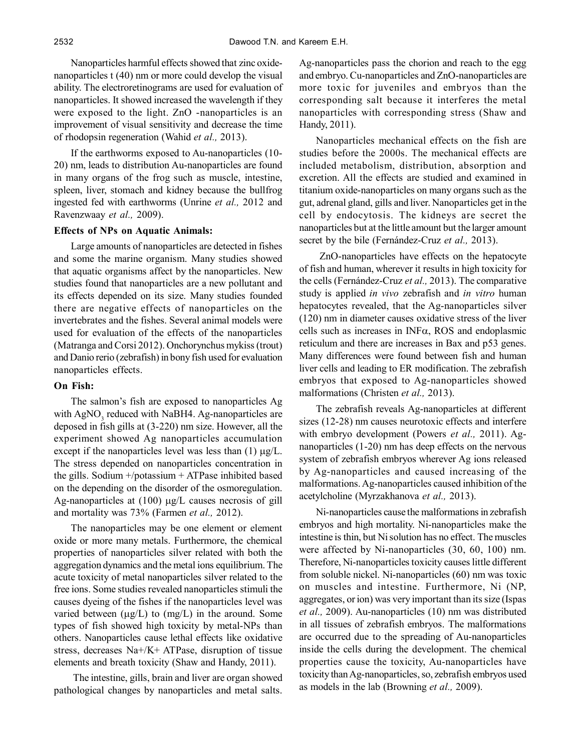Nanoparticles harmful effects showed that zinc oxidenanoparticles t (40) nm or more could develop the visual ability. The electroretinograms are used for evaluation of nanoparticles. It showed increased the wavelength if they were exposed to the light. ZnO -nanoparticles is an improvement of visual sensitivity and decrease the time of rhodopsin regeneration (Wahid *et al.,* 2013).

If the earthworms exposed to Au-nanoparticles (10- 20) nm, leads to distribution Au-nanoparticles are found in many organs of the frog such as muscle, intestine, spleen, liver, stomach and kidney because the bullfrog ingested fed with earthworms (Unrine *et al.,* 2012 and Ravenzwaay *et al.,* 2009).

## **Effects of NPs on Aquatic Animals:**

Large amounts of nanoparticles are detected in fishes and some the marine organism. Many studies showed that aquatic organisms affect by the nanoparticles. New studies found that nanoparticles are a new pollutant and its effects depended on its size. Many studies founded there are negative effects of nanoparticles on the invertebrates and the fishes. Several animal models were used for evaluation of the effects of the nanoparticles (Matranga and Corsi 2012). Onchorynchus mykiss (trout) and Danio rerio (zebrafish) in bony fish used for evaluation nanoparticles effects.

## **On Fish:**

The salmon's fish are exposed to nanoparticles Ag with  $\text{AgNO}_3$  reduced with NaBH4. Ag-nanoparticles are deposed in fish gills at (3-220) nm size. However, all the experiment showed Ag nanoparticles accumulation except if the nanoparticles level was less than  $(1) \mu g/L$ . The stress depended on nanoparticles concentration in the gills. Sodium +/potassium + ATPase inhibited based on the depending on the disorder of the osmoregulation. Ag-nanoparticles at  $(100)$   $\mu$ g/L causes necrosis of gill and mortality was 73% (Farmen *et al.,* 2012).

The nanoparticles may be one element or element oxide or more many metals. Furthermore, the chemical properties of nanoparticles silver related with both the aggregation dynamics and the metal ions equilibrium. The acute toxicity of metal nanoparticles silver related to the free ions. Some studies revealed nanoparticles stimuli the causes dyeing of the fishes if the nanoparticles level was varied between  $(\mu g/L)$  to  $(mg/L)$  in the around. Some types of fish showed high toxicity by metal-NPs than others. Nanoparticles cause lethal effects like oxidative stress, decreases Na+/K+ ATPase, disruption of tissue elements and breath toxicity (Shaw and Handy, 2011).

 The intestine, gills, brain and liver are organ showed pathological changes by nanoparticles and metal salts. Ag-nanoparticles pass the chorion and reach to the egg and embryo. Cu-nanoparticles and ZnO-nanoparticles are more toxic for juveniles and embryos than the corresponding salt because it interferes the metal nanoparticles with corresponding stress (Shaw and Handy, 2011).

Nanoparticles mechanical effects on the fish are studies before the 2000s. The mechanical effects are included metabolism, distribution, absorption and excretion. All the effects are studied and examined in titanium oxide-nanoparticles on many organs such as the gut, adrenal gland, gills and liver. Nanoparticles get in the cell by endocytosis. The kidneys are secret the nanoparticles but at the little amount but the larger amount secret by the bile (Fernández-Cruz *et al.,* 2013).

 ZnO-nanoparticles have effects on the hepatocyte of fish and human, wherever it results in high toxicity for the cells (Fernández-Cruz *et al.,* 2013). The comparative study is applied *in vivo* zebrafish and *in vitro* human hepatocytes revealed, that the Ag-nanoparticles silver (120) nm in diameter causes oxidative stress of the liver cells such as increases in  $INF\alpha$ , ROS and endoplasmic reticulum and there are increases in Bax and p53 genes. Many differences were found between fish and human liver cells and leading to ER modification. The zebrafish embryos that exposed to Ag-nanoparticles showed malformations (Christen *et al.,* 2013).

The zebrafish reveals Ag-nanoparticles at different sizes (12-28) nm causes neurotoxic effects and interfere with embryo development (Powers *et al.,* 2011). Agnanoparticles (1-20) nm has deep effects on the nervous system of zebrafish embryos wherever Ag ions released by Ag-nanoparticles and caused increasing of the malformations. Ag-nanoparticles caused inhibition of the acetylcholine (Myrzakhanova *et al.,* 2013).

Ni-nanoparticles cause the malformations in zebrafish embryos and high mortality. Ni-nanoparticles make the intestine is thin, but Ni solution has no effect. The muscles were affected by Ni-nanoparticles (30, 60, 100) nm. Therefore, Ni-nanoparticles toxicity causes little different from soluble nickel. Ni-nanoparticles (60) nm was toxic on muscles and intestine. Furthermore, Ni (NP, aggregates, or ion) was very important than its size (Ispas *et al.,* 2009). Au-nanoparticles (10) nm was distributed in all tissues of zebrafish embryos. The malformations are occurred due to the spreading of Au-nanoparticles inside the cells during the development. The chemical properties cause the toxicity, Au-nanoparticles have toxicity than Ag-nanoparticles, so, zebrafish embryos used as models in the lab (Browning *et al.,* 2009).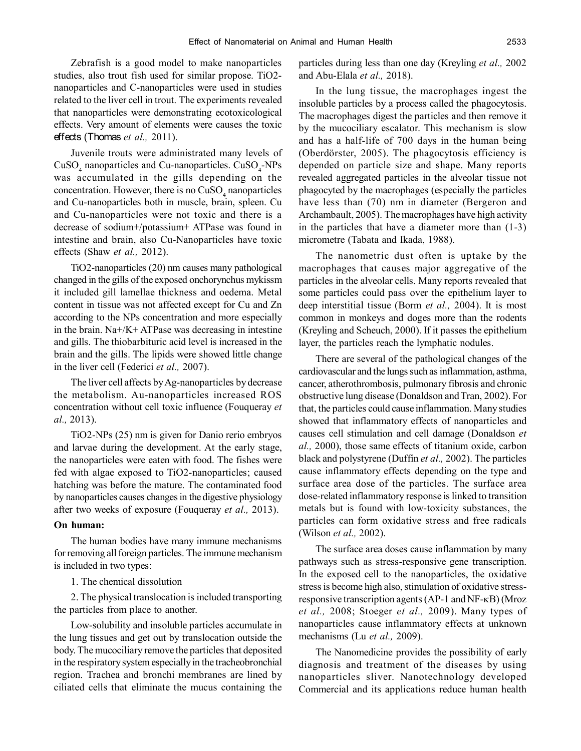Zebrafish is a good model to make nanoparticles studies, also trout fish used for similar propose. TiO2 nanoparticles and C-nanoparticles were used in studies related to the liver cell in trout. The experiments revealed that nanoparticles were demonstrating ecotoxicological effects. Very amount of elements were causes the toxic effects (Thomas *et al.,* 2011).

Juvenile trouts were administrated many levels of  $CuSO<sub>4</sub>$  nanoparticles and Cu-nanoparticles.  $CuSO<sub>4</sub>-NPs$ was accumulated in the gills depending on the concentration. However, there is no  $CuSO<sub>4</sub>$  nanoparticles and Cu-nanoparticles both in muscle, brain, spleen. Cu and Cu-nanoparticles were not toxic and there is a decrease of sodium+/potassium+ ATPase was found in intestine and brain, also Cu-Nanoparticles have toxic effects (Shaw *et al.,* 2012).

TiO2-nanoparticles (20) nm causes many pathological changed in the gills of the exposed onchorynchus mykissm it included gill lamellae thickness and oedema. Metal content in tissue was not affected except for Cu and Zn according to the NPs concentration and more especially in the brain.  $Na + / K + ATP$  as decreasing in intestine and gills. The thiobarbituric acid level is increased in the brain and the gills. The lipids were showed little change in the liver cell (Federici *et al.,* 2007).

The liver cell affects by Ag-nanoparticles by decrease the metabolism. Au-nanoparticles increased ROS concentration without cell toxic influence (Fouqueray *et al.,* 2013).

TiO2-NPs (25) nm is given for Danio rerio embryos and larvae during the development. At the early stage, the nanoparticles were eaten with food. The fishes were fed with algae exposed to TiO2-nanoparticles; caused hatching was before the mature. The contaminated food by nanoparticles causes changes in the digestive physiology after two weeks of exposure (Fouqueray *et al.,* 2013).

#### **On human:**

The human bodies have many immune mechanisms for removing all foreign particles. The immune mechanism is included in two types:

#### 1. The chemical dissolution

2. The physical translocation is included transporting the particles from place to another.

Low-solubility and insoluble particles accumulate in the lung tissues and get out by translocation outside the body. The mucociliary remove the particles that deposited in the respiratory system especially in the tracheobronchial region. Trachea and bronchi membranes are lined by ciliated cells that eliminate the mucus containing the particles during less than one day (Kreyling *et al.,* 2002 and Abu-Elala *et al.,* 2018).

In the lung tissue, the macrophages ingest the insoluble particles by a process called the phagocytosis. The macrophages digest the particles and then remove it by the mucociliary escalator. This mechanism is slow and has a half-life of 700 days in the human being (Oberdörster, 2005). The phagocytosis efficiency is depended on particle size and shape. Many reports revealed aggregated particles in the alveolar tissue not phagocyted by the macrophages (especially the particles have less than (70) nm in diameter (Bergeron and Archambault, 2005). The macrophages have high activity in the particles that have a diameter more than (1-3) micrometre (Tabata and Ikada, 1988).

The nanometric dust often is uptake by the macrophages that causes major aggregative of the particles in the alveolar cells. Many reports revealed that some particles could pass over the epithelium layer to deep interstitial tissue (Borm *et al.,* 2004). It is most common in monkeys and doges more than the rodents (Kreyling and Scheuch, 2000). If it passes the epithelium layer, the particles reach the lymphatic nodules.

There are several of the pathological changes of the cardiovascular and the lungs such as inflammation, asthma, cancer, atherothrombosis, pulmonary fibrosis and chronic obstructive lung disease (Donaldson and Tran, 2002). For that, the particles could cause inflammation. Many studies showed that inflammatory effects of nanoparticles and causes cell stimulation and cell damage (Donaldson *et al.,* 2000), those same effects of titanium oxide, carbon black and polystyrene (Duffin *et al.,* 2002). The particles cause inflammatory effects depending on the type and surface area dose of the particles. The surface area dose-related inflammatory response is linked to transition metals but is found with low-toxicity substances, the particles can form oxidative stress and free radicals (Wilson *et al.,* 2002).

The surface area doses cause inflammation by many pathways such as stress-responsive gene transcription. In the exposed cell to the nanoparticles, the oxidative stress is become high also, stimulation of oxidative stressresponsive transcription agents  $(AP-1$  and  $NF-\kappa B)$  (Mroz *et al.,* 2008; Stoeger *et al.,* 2009). Many types of nanoparticles cause inflammatory effects at unknown mechanisms (Lu *et al.,* 2009).

The Nanomedicine provides the possibility of early diagnosis and treatment of the diseases by using nanoparticles sliver. Nanotechnology developed Commercial and its applications reduce human health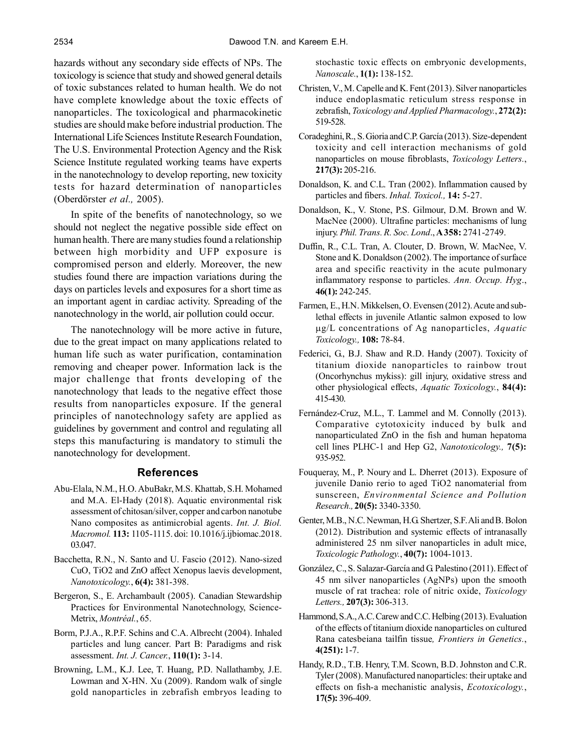hazards without any secondary side effects of NPs. The toxicology is science that study and showed general details of toxic substances related to human health. We do not have complete knowledge about the toxic effects of nanoparticles. The toxicological and pharmacokinetic studies are should make before industrial production. The International Life Sciences Institute Research Foundation, The U.S. Environmental Protection Agency and the Risk Science Institute regulated working teams have experts in the nanotechnology to develop reporting, new toxicity tests for hazard determination of nanoparticles (Oberdörster *et al.,* 2005).

In spite of the benefits of nanotechnology, so we should not neglect the negative possible side effect on human health. There are many studies found a relationship between high morbidity and UFP exposure is compromised person and elderly. Moreover, the new studies found there are impaction variations during the days on particles levels and exposures for a short time as an important agent in cardiac activity. Spreading of the nanotechnology in the world, air pollution could occur.

The nanotechnology will be more active in future, due to the great impact on many applications related to human life such as water purification, contamination removing and cheaper power. Information lack is the major challenge that fronts developing of the nanotechnology that leads to the negative effect those results from nanoparticles exposure. If the general principles of nanotechnology safety are applied as guidelines by government and control and regulating all steps this manufacturing is mandatory to stimuli the nanotechnology for development.

# **References**

- Abu-Elala, N.M., H.O. AbuBakr, M.S. Khattab, S.H. Mohamed and M.A. El-Hady (2018). Aquatic environmental risk assessment of chitosan/silver, copper and carbon nanotube Nano composites as antimicrobial agents. *Int. J. Biol. Macromol.* **113:** 1105-1115. doi: 10.1016/j.ijbiomac.2018. 03.047.
- Bacchetta, R.N., N. Santo and U. Fascio (2012). Nano-sized CuO, TiO2 and ZnO affect Xenopus laevis development, *Nanotoxicology.*, **6(4):** 381-398.
- Bergeron, S., E. Archambault (2005). Canadian Stewardship Practices for Environmental Nanotechnology, Science-Metrix, *Montréal.*, 65.
- Borm, P.J.A., R.P.F. Schins and C.A. Albrecht (2004). Inhaled particles and lung cancer. Part B: Paradigms and risk assessment. *Int. J. Cancer.*, **110(1):** 3-14.
- Browning, L.M., K.J. Lee, T. Huang, P.D. Nallathamby, J.E. Lowman and X-HN. Xu (2009). Random walk of single gold nanoparticles in zebrafish embryos leading to

stochastic toxic effects on embryonic developments, *Nanoscale.*, **1(1):** 138-152.

- Christen, V., M. Capelle and K. Fent (2013). Silver nanoparticles induce endoplasmatic reticulum stress response in zebrafish, *Toxicology and Applied Pharmacology.*, **272(2):** 519-528.
- Coradeghini, R., S. Gioria and C.P. García (2013). Size-dependent toxicity and cell interaction mechanisms of gold nanoparticles on mouse fibroblasts, *Toxicology Letters.*, **217(3):** 205-216.
- Donaldson, K. and C.L. Tran (2002). Inflammation caused by particles and fibers. *Inhal. Toxicol.,* **14:** 5-27.
- Donaldson, K., V. Stone, P.S. Gilmour, D.M. Brown and W. MacNee (2000). Ultrafine particles: mechanisms of lung injury. *Phil. Trans. R. Soc. Lond*., **A 358:** 2741-2749.
- Duffin, R., C.L. Tran, A. Clouter, D. Brown, W. MacNee, V. Stone and K. Donaldson (2002). The importance of surface area and specific reactivity in the acute pulmonary inflammatory response to particles. *Ann. Occup. Hyg*., **46(1):** 242-245.
- Farmen, E., H.N. Mikkelsen, O. Evensen (2012). Acute and sublethal effects in juvenile Atlantic salmon exposed to low g/L concentrations of Ag nanoparticles, *Aquatic Toxicology.,* **108:** 78-84.
- Federici, G., B.J. Shaw and R.D. Handy (2007). Toxicity of titanium dioxide nanoparticles to rainbow trout (Oncorhynchus mykiss): gill injury, oxidative stress and other physiological effects, *Aquatic Toxicology.*, **84(4):** 415-430.
- Fernández-Cruz, M.L., T. Lammel and M. Connolly (2013). Comparative cytotoxicity induced by bulk and nanoparticulated ZnO in the fish and human hepatoma cell lines PLHC-1 and Hep G2, *Nanotoxicology.,* **7(5):** 935-952.
- Fouqueray, M., P. Noury and L. Dherret (2013). Exposure of juvenile Danio rerio to aged TiO2 nanomaterial from sunscreen, *Environmental Science and Pollution Research.,* **20(5):** 3340-3350.
- Genter, M.B., N.C. Newman, H.G. Shertzer, S.F. Ali and B. Bolon (2012). Distribution and systemic effects of intranasally administered 25 nm silver nanoparticles in adult mice, *Toxicologic Pathology.*, **40(7):** 1004-1013.
- González, C., S. Salazar-García and G. Palestino (2011). Effect of 45 nm silver nanoparticles (AgNPs) upon the smooth muscle of rat trachea: role of nitric oxide, *Toxicology Letters.,* **207(3):** 306-313.
- Hammond, S.A., A.C. Carew and C.C. Helbing (2013). Evaluation of the effects of titanium dioxide nanoparticles on cultured Rana catesbeiana tailfin tissue*, Frontiers in Genetics.*, **4(251):** 1-7.
- Handy, R.D., T.B. Henry, T.M. Scown, B.D. Johnston and C.R. Tyler (2008). Manufactured nanoparticles: their uptake and effects on fish-a mechanistic analysis, *Ecotoxicology.*, **17(5):** 396-409.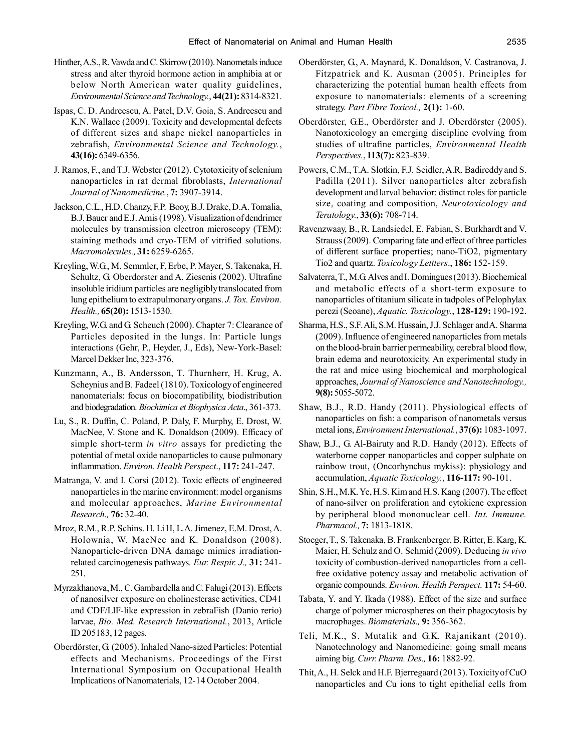- Hinther, A.S., R. Vawda and C. Skirrow (2010). Nanometals induce stress and alter thyroid hormone action in amphibia at or below North American water quality guidelines, *Environmental Science and Technology.*, **44(21):** 8314-8321.
- Ispas, C. D. Andreescu, A. Patel, D.V. Goia, S. Andreescu and K.N. Wallace (2009). Toxicity and developmental defects of different sizes and shape nickel nanoparticles in zebrafish, *Environmental Science and Technology.*, **43(16):** 6349-6356.
- J. Ramos, F., and T.J. Webster (2012). Cytotoxicity of selenium nanoparticles in rat dermal fibroblasts, *International Journal of Nanomedicine.*, **7:** 3907-3914.
- Jackson, C.L., H.D. Chanzy, F.P. Booy, B.J. Drake, D.A. Tomalia, B.J. Bauer and E.J. Amis (1998). Visualization of dendrimer molecules by transmission electron microscopy (TEM): staining methods and cryo-TEM of vitrified solutions. *Macromolecules.,* **31:** 6259-6265.
- Kreyling, W.G., M. Semmler, F, Erbe, P. Mayer, S. Takenaka, H. Schultz, G. Oberdorster and A. Ziesenis (2002). Ultrafine insoluble iridium particles are negligibly translocated from lung epithelium to extrapulmonary organs. *J. Tox. Environ. Health.,* **65(20):** 1513-1530.
- Kreyling, W.G. and G. Scheuch (2000). Chapter 7: Clearance of Particles deposited in the lungs. In: Particle lungs interactions (Gehr, P., Heyder, J., Eds), New-York-Basel: Marcel Dekker Inc, 323-376.
- Kunzmann, A., B. Andersson, T. Thurnherr, H. Krug, A. Scheynius and B. Fadeel (1810). Toxicology of engineered nanomaterials: focus on biocompatibility, biodistribution and biodegradation. *Biochimica et Biophysica Acta*., 361-373.
- Lu, S., R. Duffin, C. Poland, P. Daly, F. Murphy, E. Drost, W. MacNee, V. Stone and K. Donaldson (2009). Efficacy of simple short-term *in vitro* assays for predicting the potential of metal oxide nanoparticles to cause pulmonary inflammation. *Environ. Health Perspect*., **117:** 241-247.
- Matranga, V. and I. Corsi (2012). Toxic effects of engineered nanoparticles in the marine environment: model organisms and molecular approaches, *Marine Environmental Research.,* **76:** 32-40.
- Mroz, R.M., R.P. Schins. H. Li H, L.A. Jimenez, E.M. Drost, A. Holownia, W. MacNee and K. Donaldson (2008). Nanoparticle-driven DNA damage mimics irradiationrelated carcinogenesis pathways*. Eur. Respir. J.,* **31:** 241- 251.
- Myrzakhanova, M., C. Gambardella and C. Falugi (2013). Effects of nanosilver exposure on cholinesterase activities, CD41 and CDF/LIF-like expression in zebraFish (Danio rerio) larvae, *Bio. Med. Research International.*, 2013, Article ID 205183, 12 pages.
- Oberdörster, G. (2005). Inhaled Nano-sized Particles: Potential effects and Mechanisms. Proceedings of the First International Symposium on Occupational Health Implications of Nanomaterials, 12-14 October 2004.
- Oberdörster, G., A. Maynard, K. Donaldson, V. Castranova, J. Fitzpatrick and K. Ausman (2005). Principles for characterizing the potential human health effects from exposure to nanomaterials: elements of a screening strategy. *Part Fibre Toxicol.,* **2(1):** 1-60.
- Oberdörster, G.E., Oberdörster and J. Oberdörster (2005). Nanotoxicology an emerging discipline evolving from studies of ultrafine particles, *Environmental Health Perspectives.*, **113(7):** 823-839.
- Powers, C.M., T.A. Slotkin, F.J. Seidler, A.R. Badireddy and S. Padilla (2011). Silver nanoparticles alter zebrafish development and larval behavior: distinct roles for particle size, coating and composition, *Neurotoxicology and Teratology.*, **33(6):** 708-714.
- Ravenzwaay, B., R. Landsiedel, E. Fabian, S. Burkhardt and V. Strauss (2009). Comparing fate and effect of three particles of different surface properties; nano-TiO2, pigmentary Tio2 and quartz. *Toxicology Lettters*., **186:** 152-159.
- Salvaterra, T., M.G. Alves and I. Domingues (2013). Biochemical and metabolic effects of a short-term exposure to nanoparticles of titanium silicate in tadpoles of Pelophylax perezi (Seoane), *Aquatic. Toxicology.*, **128-129:** 190-192.
- Sharma, H.S., S.F. Ali, S.M. Hussain, J.J. Schlager and A. Sharma (2009). Influence of engineered nanoparticles from metals on the blood-brain barrier permeability, cerebral blood flow, brain edema and neurotoxicity. An experimental study in the rat and mice using biochemical and morphological approaches, *Journal of Nanoscience and Nanotechnology.,* **9(8):** 5055-5072.
- Shaw, B.J., R.D. Handy (2011). Physiological effects of nanoparticles on fish: a comparison of nanometals versus metal ions, *Environment International.*, **37(6):** 1083-1097.
- Shaw, B.J., G. Al-Bairuty and R.D. Handy (2012). Effects of waterborne copper nanoparticles and copper sulphate on rainbow trout, (Oncorhynchus mykiss): physiology and accumulation, *Aquatic Toxicology.*, **116-117:** 90-101.
- Shin, S.H., M.K. Ye, H.S. Kim and H.S. Kang (2007). The effect of nano-silver on proliferation and cytokiene expression by peripheral blood mononuclear cell. *Int. Immune. Pharmacol.,* **7:** 1813-1818.
- Stoeger, T., S. Takenaka, B. Frankenberger, B. Ritter, E. Karg, K. Maier, H. Schulz and O. Schmid (2009). Deducing *in vivo* toxicity of combustion-derived nanoparticles from a cellfree oxidative potency assay and metabolic activation of organic compounds. *Environ. Health Perspect*. **117:** 54-60.
- Tabata, Y. and Y. Ikada (1988). Effect of the size and surface charge of polymer microspheres on their phagocytosis by macrophages. *Biomaterials.,* **9:** 356-362.
- Teli, M.K., S. Mutalik and G.K. Rajanikant (2010). Nanotechnology and Nanomedicine: going small means aiming big. *Curr. Pharm. Des.,* **16:** 1882-92.
- Thit, A., H. Selck and H.F. Bjerregaard (2013). Toxicity of CuO nanoparticles and Cu ions to tight epithelial cells from